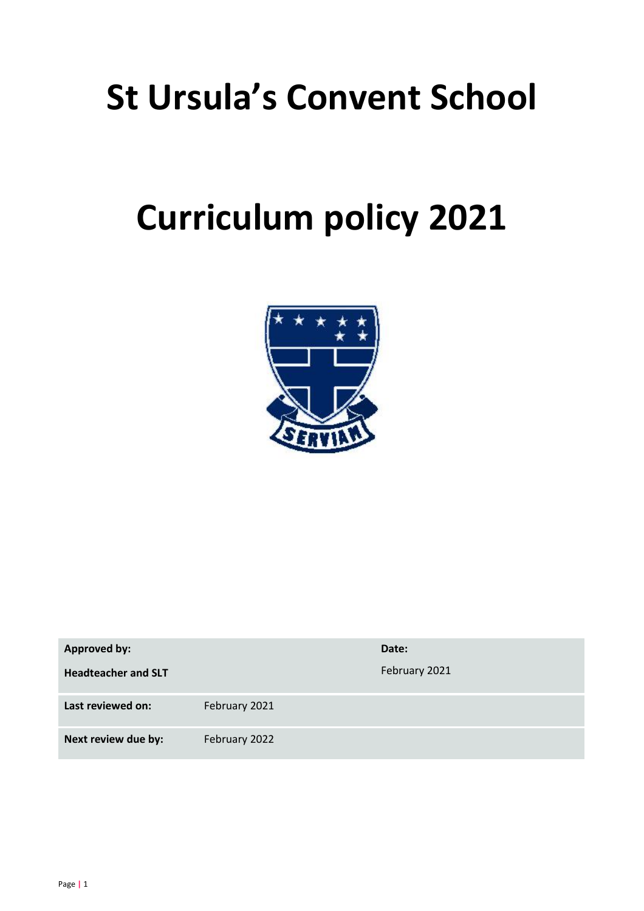# **St Ursula's Convent School**

# **Curriculum policy 2021**



| <b>Approved by:</b>        |               | Date:         |
|----------------------------|---------------|---------------|
| <b>Headteacher and SLT</b> |               | February 2021 |
| Last reviewed on:          | February 2021 |               |
| Next review due by:        | February 2022 |               |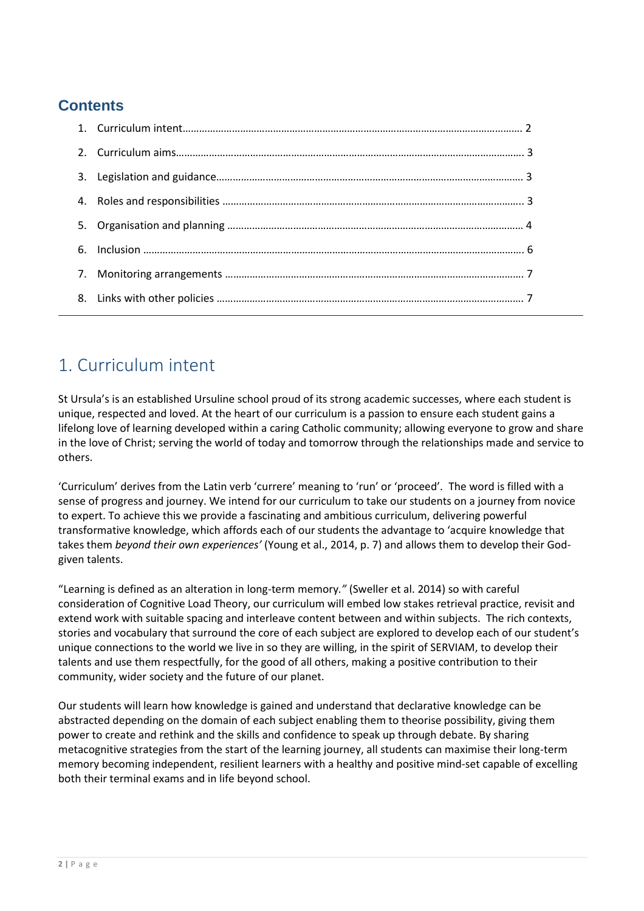### **Contents**

## 1. Curriculum intent

St Ursula's is an established Ursuline school proud of its strong academic successes, where each student is unique, respected and loved. At the heart of our curriculum is a passion to ensure each student gains a lifelong love of learning developed within a caring Catholic community; allowing everyone to grow and share in the love of Christ; serving the world of today and tomorrow through the relationships made and service to others.

'Curriculum' derives from the Latin verb 'currere' meaning to 'run' or 'proceed'. The word is filled with a sense of progress and journey. We intend for our curriculum to take our students on a journey from novice to expert. To achieve this we provide a fascinating and ambitious curriculum, delivering powerful transformative knowledge, which affords each of our students the advantage to 'acquire knowledge that takes them *beyond their own experiences'* (Young et al., 2014, p. 7) and allows them to develop their Godgiven talents.

"Learning is defined as an alteration in long-term memory*."* (Sweller et al. 2014) so with careful consideration of Cognitive Load Theory, our curriculum will embed low stakes retrieval practice, revisit and extend work with suitable spacing and interleave content between and within subjects. The rich contexts, stories and vocabulary that surround the core of each subject are explored to develop each of our student's unique connections to the world we live in so they are willing, in the spirit of SERVIAM, to develop their talents and use them respectfully, for the good of all others, making a positive contribution to their community, wider society and the future of our planet.

Our students will learn how knowledge is gained and understand that declarative knowledge can be abstracted depending on the domain of each subject enabling them to theorise possibility, giving them power to create and rethink and the skills and confidence to speak up through debate. By sharing metacognitive strategies from the start of the learning journey, all students can maximise their long-term memory becoming independent, resilient learners with a healthy and positive mind-set capable of excelling both their terminal exams and in life beyond school.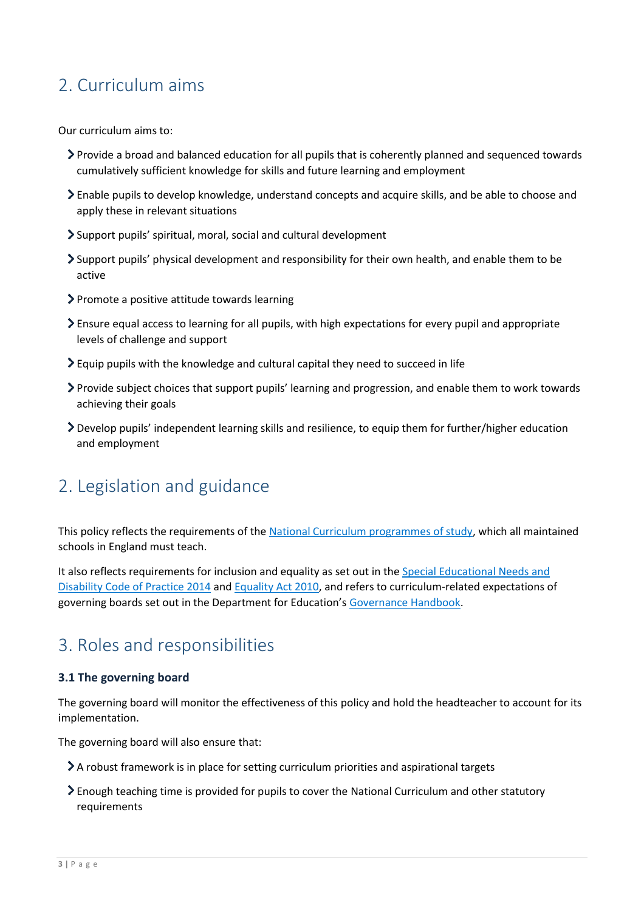# 2. Curriculum aims

Our curriculum aims to:

- Provide a broad and balanced education for all pupils that is coherently planned and sequenced towards cumulatively sufficient knowledge for skills and future learning and employment
- Enable pupils to develop knowledge, understand concepts and acquire skills, and be able to choose and apply these in relevant situations
- Support pupils' spiritual, moral, social and cultural development
- Support pupils' physical development and responsibility for their own health, and enable them to be active
- Promote a positive attitude towards learning
- Ensure equal access to learning for all pupils, with high expectations for every pupil and appropriate levels of challenge and support
- Equip pupils with the knowledge and cultural capital they need to succeed in life
- Provide subject choices that support pupils' learning and progression, and enable them to work towards achieving their goals
- Develop pupils' independent learning skills and resilience, to equip them for further/higher education and employment

## 2. Legislation and guidance

This policy reflects the requirements of th[e National Curriculum programmes of study,](https://www.gov.uk/government/collections/national-curriculum) which all maintained schools in England must teach.

It also reflects requirements for inclusion and equality as set out in the Special Educational Needs and [Disability Code of Practice 2014](https://www.gov.uk/government/publications/send-code-of-practice-0-to-25) an[d Equality Act 2010,](http://www.legislation.gov.uk/ukpga/2010/15/part/6/chapter/1) and refers to curriculum-related expectations of governing boards set out in the Department for Education's [Governance Handbook.](https://www.gov.uk/government/publications/governance-handbook)

## 3. Roles and responsibilities

#### **3.1 The governing board**

The governing board will monitor the effectiveness of this policy and hold the headteacher to account for its implementation.

The governing board will also ensure that:

- A robust framework is in place for setting curriculum priorities and aspirational targets
- Enough teaching time is provided for pupils to cover the National Curriculum and other statutory requirements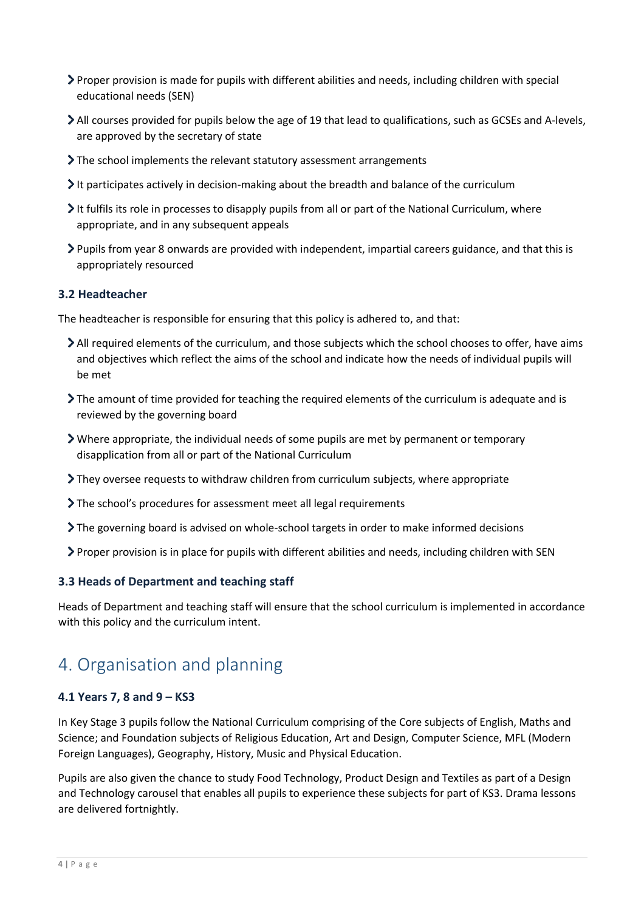- Proper provision is made for pupils with different abilities and needs, including children with special educational needs (SEN)
- All courses provided for pupils below the age of 19 that lead to qualifications, such as GCSEs and A-levels, are approved by the secretary of state
- The school implements the relevant statutory assessment arrangements
- It participates actively in decision-making about the breadth and balance of the curriculum
- It fulfils its role in processes to disapply pupils from all or part of the National Curriculum, where appropriate, and in any subsequent appeals
- Pupils from year 8 onwards are provided with independent, impartial careers guidance, and that this is appropriately resourced

#### **3.2 Headteacher**

The headteacher is responsible for ensuring that this policy is adhered to, and that:

- All required elements of the curriculum, and those subjects which the school chooses to offer, have aims and objectives which reflect the aims of the school and indicate how the needs of individual pupils will be met
- The amount of time provided for teaching the required elements of the curriculum is adequate and is reviewed by the governing board
- Where appropriate, the individual needs of some pupils are met by permanent or temporary disapplication from all or part of the National Curriculum
- They oversee requests to withdraw children from curriculum subjects, where appropriate
- The school's procedures for assessment meet all legal requirements
- The governing board is advised on whole-school targets in order to make informed decisions
- Proper provision is in place for pupils with different abilities and needs, including children with SEN

#### **3.3 Heads of Department and teaching staff**

Heads of Department and teaching staff will ensure that the school curriculum is implemented in accordance with this policy and the curriculum intent.

## 4. Organisation and planning

#### **4.1 Years 7, 8 and 9 – KS3**

In Key Stage 3 pupils follow the National Curriculum comprising of the Core subjects of English, Maths and Science; and Foundation subjects of Religious Education, Art and Design, Computer Science, MFL (Modern Foreign Languages), Geography, History, Music and Physical Education.

Pupils are also given the chance to study Food Technology, Product Design and Textiles as part of a Design and Technology carousel that enables all pupils to experience these subjects for part of KS3. Drama lessons are delivered fortnightly.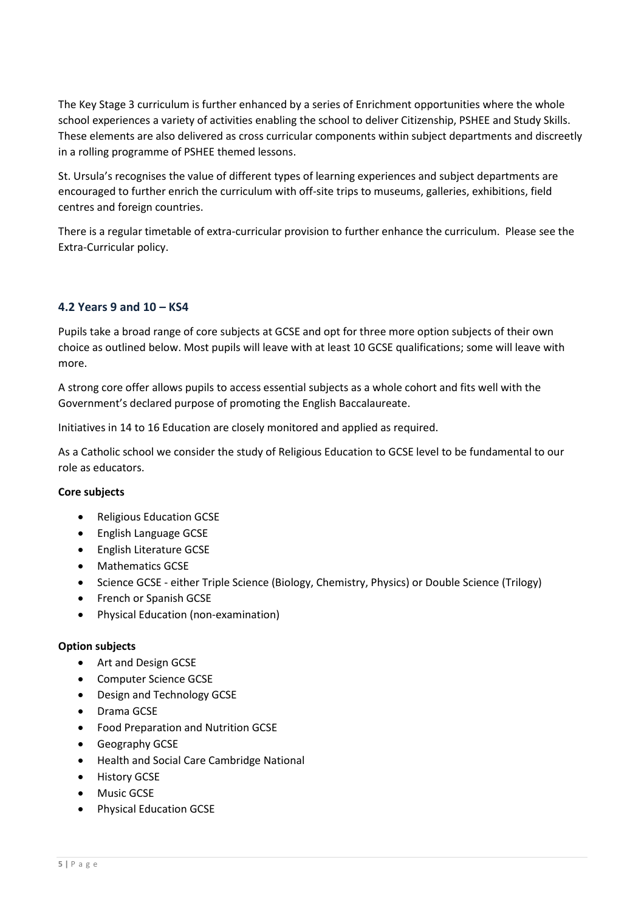The Key Stage 3 curriculum is further enhanced by a series of Enrichment opportunities where the whole school experiences a variety of activities enabling the school to deliver Citizenship, PSHEE and Study Skills. These elements are also delivered as cross curricular components within subject departments and discreetly in a rolling programme of PSHEE themed lessons.

St. Ursula's recognises the value of different types of learning experiences and subject departments are encouraged to further enrich the curriculum with off-site trips to museums, galleries, exhibitions, field centres and foreign countries.

There is a regular timetable of extra-curricular provision to further enhance the curriculum. Please see the Extra-Curricular policy.

#### **4.2 Years 9 and 10 – KS4**

Pupils take a broad range of core subjects at GCSE and opt for three more option subjects of their own choice as outlined below. Most pupils will leave with at least 10 GCSE qualifications; some will leave with more.

A strong core offer allows pupils to access essential subjects as a whole cohort and fits well with the Government's declared purpose of promoting the English Baccalaureate.

Initiatives in 14 to 16 Education are closely monitored and applied as required.

As a Catholic school we consider the study of Religious Education to GCSE level to be fundamental to our role as educators.

#### **Core subjects**

- Religious Education GCSE
- English Language GCSE
- **•** English Literature GCSE
- Mathematics GCSE
- Science GCSE either Triple Science (Biology, Chemistry, Physics) or Double Science (Trilogy)
- French or Spanish GCSE
- Physical Education (non-examination)

#### **Option subjects**

- Art and Design GCSE
- Computer Science GCSE
- Design and Technology GCSE
- Drama GCSE
- Food Preparation and Nutrition GCSE
- **•** Geography GCSE
- Health and Social Care Cambridge National
- **•** History GCSE
- Music GCSE
- **•** Physical Education GCSE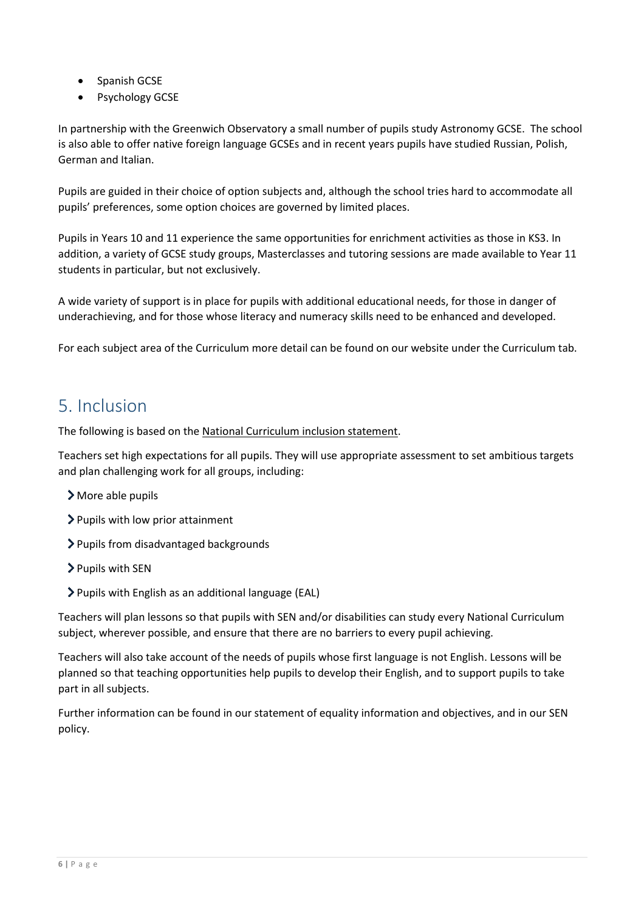- Spanish GCSE
- Psychology GCSE

In partnership with the Greenwich Observatory a small number of pupils study Astronomy GCSE. The school is also able to offer native foreign language GCSEs and in recent years pupils have studied Russian, Polish, German and Italian.

Pupils are guided in their choice of option subjects and, although the school tries hard to accommodate all pupils' preferences, some option choices are governed by limited places.

Pupils in Years 10 and 11 experience the same opportunities for enrichment activities as those in KS3. In addition, a variety of GCSE study groups, Masterclasses and tutoring sessions are made available to Year 11 students in particular, but not exclusively.

A wide variety of support is in place for pupils with additional educational needs, for those in danger of underachieving, and for those whose literacy and numeracy skills need to be enhanced and developed.

For each subject area of the Curriculum more detail can be found on our website under the Curriculum tab.

## 5. Inclusion

The following is based on th[e National Curriculum inclusion statement.](https://www.gov.uk/government/publications/national-curriculum-in-england-framework-for-key-stages-1-to-4/the-national-curriculum-in-england-framework-for-key-stages-1-to-4#inclusion)

Teachers set high expectations for all pupils. They will use appropriate assessment to set ambitious targets and plan challenging work for all groups, including:

- More able pupils
- > Pupils with low prior attainment
- > Pupils from disadvantaged backgrounds
- > Pupils with SEN
- Pupils with English as an additional language (EAL)

Teachers will plan lessons so that pupils with SEN and/or disabilities can study every National Curriculum subject, wherever possible, and ensure that there are no barriers to every pupil achieving.

Teachers will also take account of the needs of pupils whose first language is not English. Lessons will be planned so that teaching opportunities help pupils to develop their English, and to support pupils to take part in all subjects.

Further information can be found in our statement of equality information and objectives, and in our SEN policy.